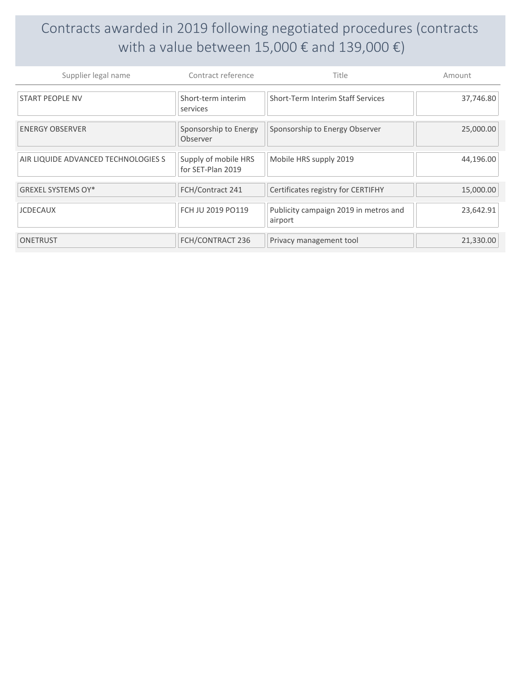## Contracts awarded in 2019 following negotiated procedures (contracts with a value between 15,000  $\epsilon$  and 139,000  $\epsilon$ )

| Supplier legal name                 | Contract reference                        | Title                                            | Amount    |
|-------------------------------------|-------------------------------------------|--------------------------------------------------|-----------|
| <b>START PEOPLE NV</b>              | Short-term interim<br>services            | Short-Term Interim Staff Services                | 37,746.80 |
| <b>ENERGY OBSERVER</b>              | Sponsorship to Energy<br>Observer         | Sponsorship to Energy Observer                   | 25,000.00 |
| AIR LIQUIDE ADVANCED TECHNOLOGIES S | Supply of mobile HRS<br>for SET-Plan 2019 | Mobile HRS supply 2019                           | 44,196.00 |
| GREXEL SYSTEMS OY*                  | FCH/Contract 241                          | Certificates registry for CERTIFHY               | 15,000.00 |
| <b>JCDECAUX</b>                     | FCH JU 2019 PO119                         | Publicity campaign 2019 in metros and<br>airport | 23,642.91 |
| <b>ONETRUST</b>                     | FCH/CONTRACT 236                          | Privacy management tool                          | 21,330.00 |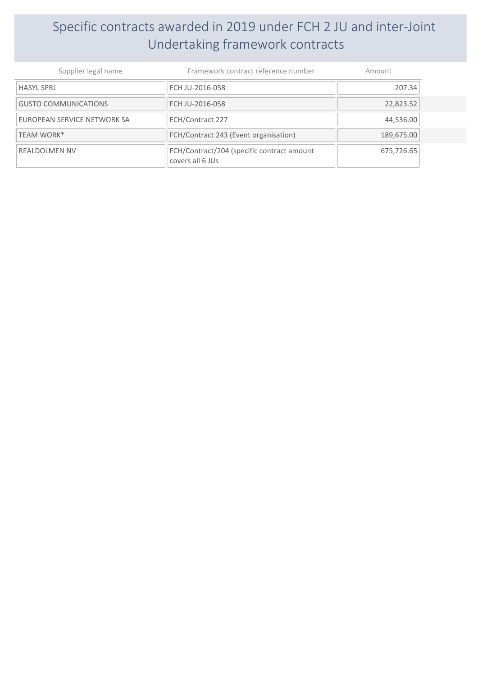## Specific contracts awarded in 2019 under FCH 2 JU and inter-Joint Undertaking framework contracts

| Supplier legal name         | Framework contract reference number                            | Amount     |
|-----------------------------|----------------------------------------------------------------|------------|
| <b>HASYL SPRL</b>           | FCH JU-2016-058                                                | 207.34     |
| <b>GUSTO COMMUNICATIONS</b> | FCH JU-2016-058                                                | 22,823.52  |
| EUROPEAN SERVICE NETWORK SA | FCH/Contract 227                                               | 44,536.00  |
| TEAM WORK*                  | FCH/Contract 243 (Event organisation)                          | 189,675.00 |
| <b>REALDOLMEN NV</b>        | FCH/Contract/204 (specific contract amount<br>covers all 6 JUs | 675,726.65 |